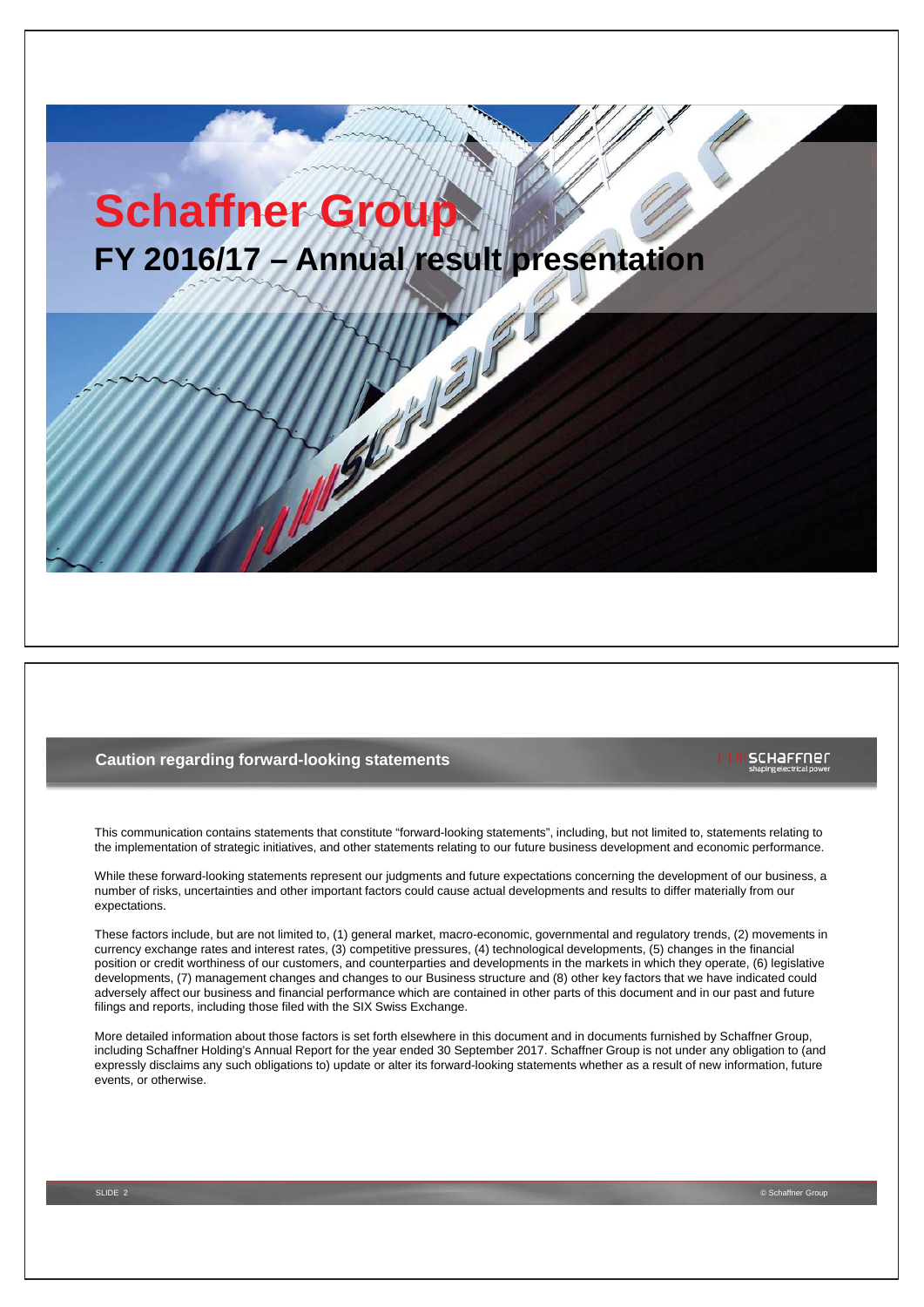# **Schaffner Group FY 2016/17 – Annual result presentation**

# **Caution regarding forward-looking statements**

# scharrner

This communication contains statements that constitute "forward-looking statements", including, but not limited to, statements relating to the implementation of strategic initiatives, and other statements relating to our future business development and economic performance.

While these forward-looking statements represent our judgments and future expectations concerning the development of our business, a number of risks, uncertainties and other important factors could cause actual developments and results to differ materially from our expectations.

These factors include, but are not limited to, (1) general market, macro-economic, governmental and regulatory trends, (2) movements in currency exchange rates and interest rates, (3) competitive pressures, (4) technological developments, (5) changes in the financial position or credit worthiness of our customers, and counterparties and developments in the markets in which they operate, (6) legislative developments, (7) management changes and changes to our Business structure and (8) other key factors that we have indicated could adversely affect our business and financial performance which are contained in other parts of this document and in our past and future filings and reports, including those filed with the SIX Swiss Exchange.

More detailed information about those factors is set forth elsewhere in this document and in documents furnished by Schaffner Group, including Schaffner Holding's Annual Report for the year ended 30 September 2017. Schaffner Group is not under any obligation to (and expressly disclaims any such obligations to) update or alter its forward-looking statements whether as a result of new information, future events, or otherwise.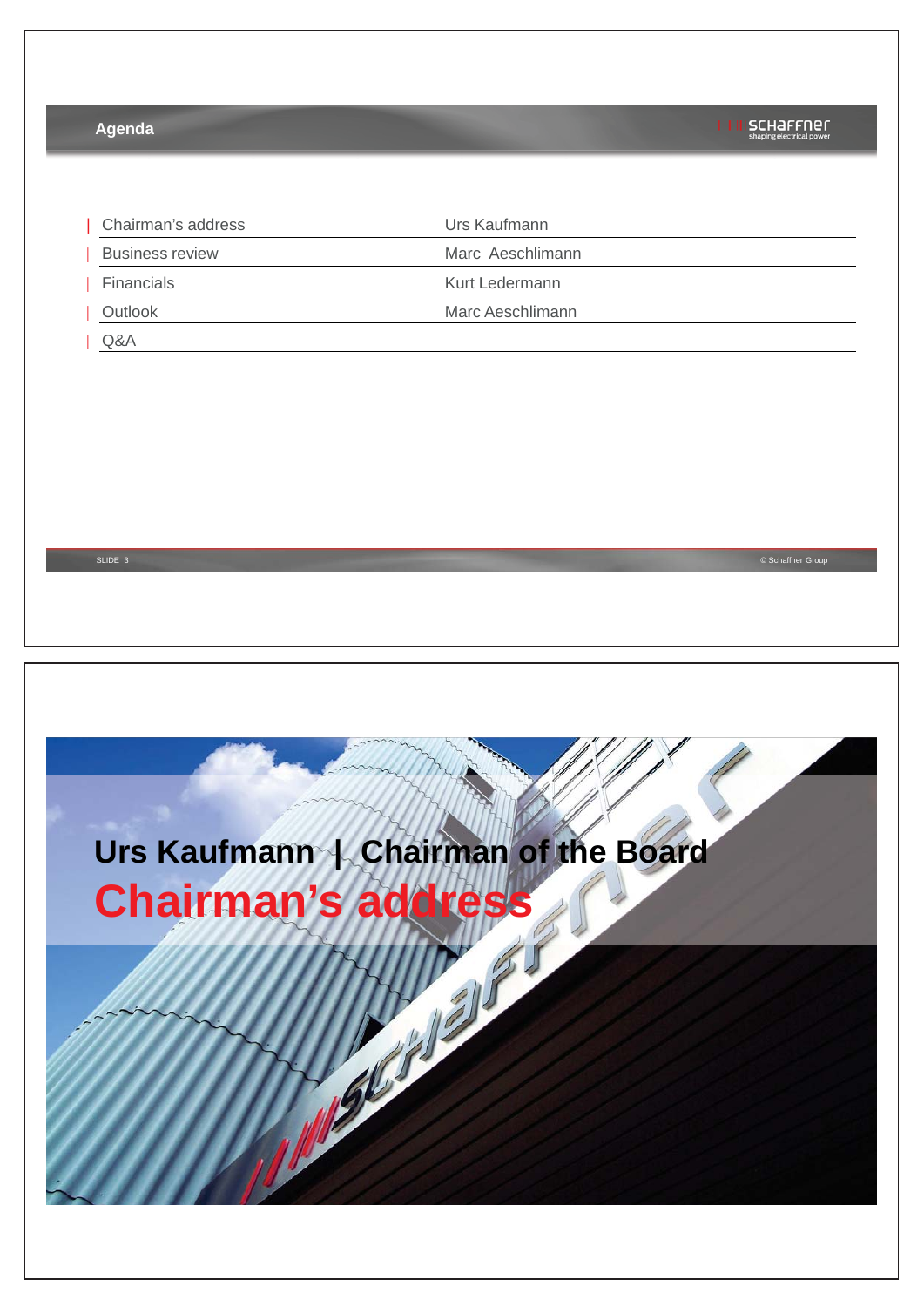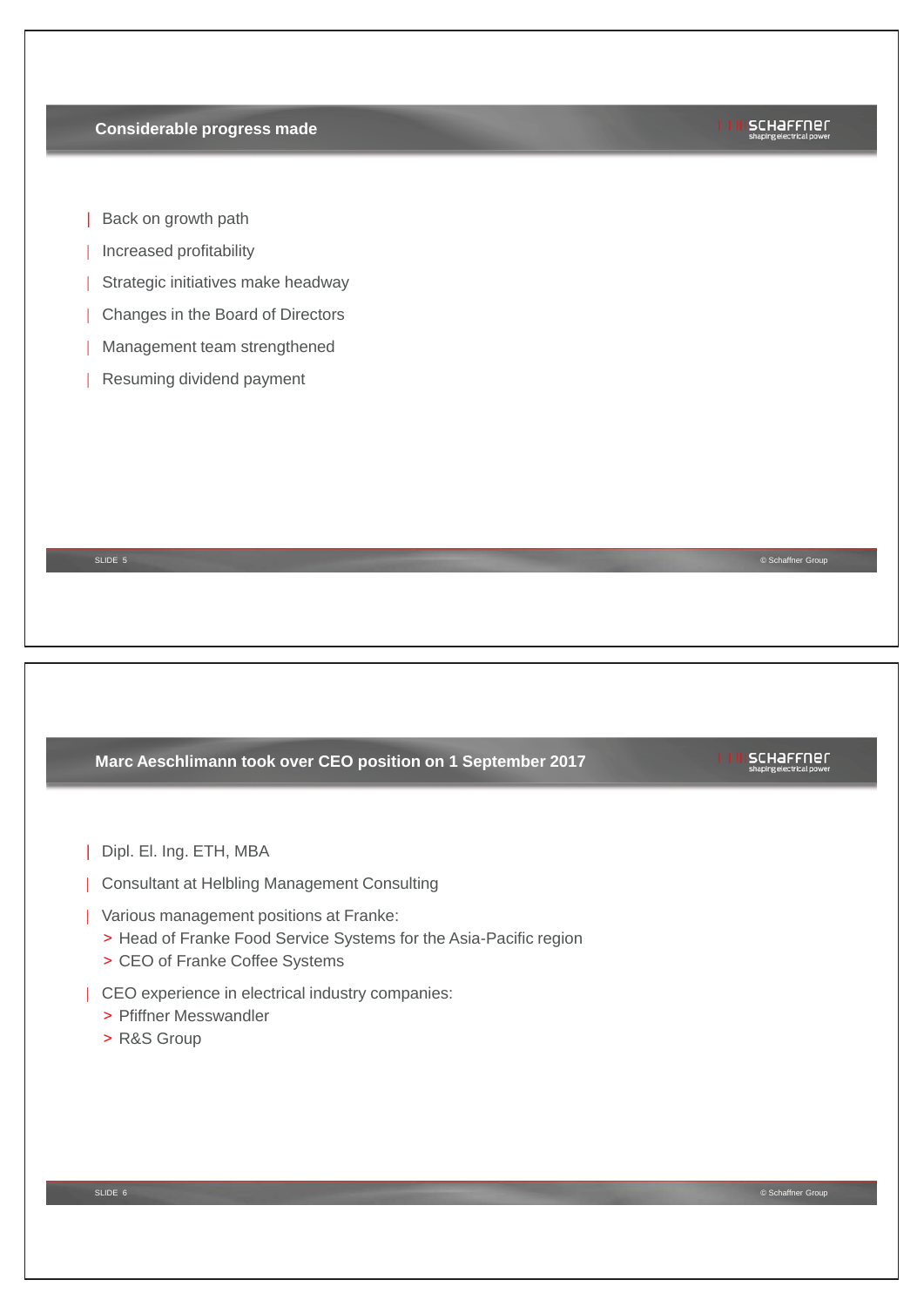# **Considerable progress made**

# **ISCHAFFNER**

- | Back on growth path
- | Increased profitability
- | Strategic initiatives make headway
- | Changes in the Board of Directors
- | Management team strengthened
- | Resuming dividend payment

# **Marc Aeschlimann took over CEO position on 1 September 2017**

SLIDE 5 © Schaffner Group

# | Dipl. El. Ing. ETH, MBA

- | Consultant at Helbling Management Consulting
- | Various management positions at Franke:
	- > Head of Franke Food Service Systems for the Asia-Pacific region
	- > CEO of Franke Coffee Systems
- | CEO experience in electrical industry companies:
	- > Pfiffner Messwandler
	- > R&S Group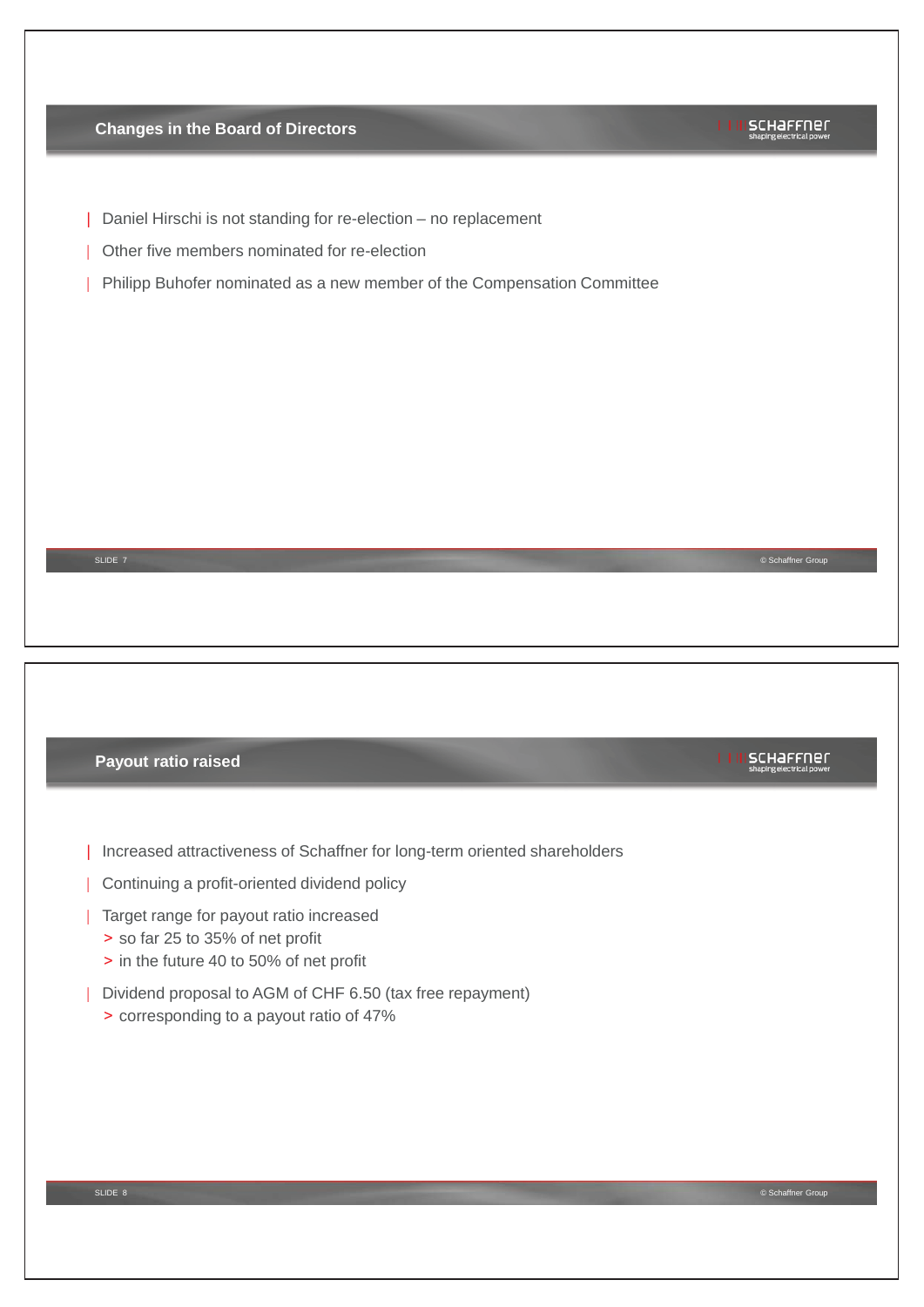| <b>Changes in the Board of Directors</b>                                    | schaffner<br>shaping electrical power                |
|-----------------------------------------------------------------------------|------------------------------------------------------|
| Daniel Hirschi is not standing for re-election - no replacement             |                                                      |
| Other five members nominated for re-election                                |                                                      |
| Philipp Buhofer nominated as a new member of the Compensation Committee     |                                                      |
|                                                                             |                                                      |
|                                                                             |                                                      |
|                                                                             |                                                      |
|                                                                             |                                                      |
|                                                                             |                                                      |
|                                                                             |                                                      |
| SLIDE 7                                                                     | © Schaffner Group                                    |
|                                                                             |                                                      |
|                                                                             |                                                      |
|                                                                             |                                                      |
|                                                                             |                                                      |
|                                                                             |                                                      |
|                                                                             |                                                      |
| Payout ratio raised                                                         | <b>I I III SCHAFFNEL</b><br>shaping electrical power |
|                                                                             |                                                      |
| Increased attractiveness of Schaffner for long-term oriented shareholders   |                                                      |
| Continuing a profit-oriented dividend policy                                |                                                      |
| Target range for payout ratio increased                                     |                                                      |
| > so far 25 to 35% of net profit<br>> in the future 40 to 50% of net profit |                                                      |
| Dividend proposal to AGM of CHF 6.50 (tax free repayment)                   |                                                      |
| > corresponding to a payout ratio of 47%                                    |                                                      |
|                                                                             |                                                      |
|                                                                             |                                                      |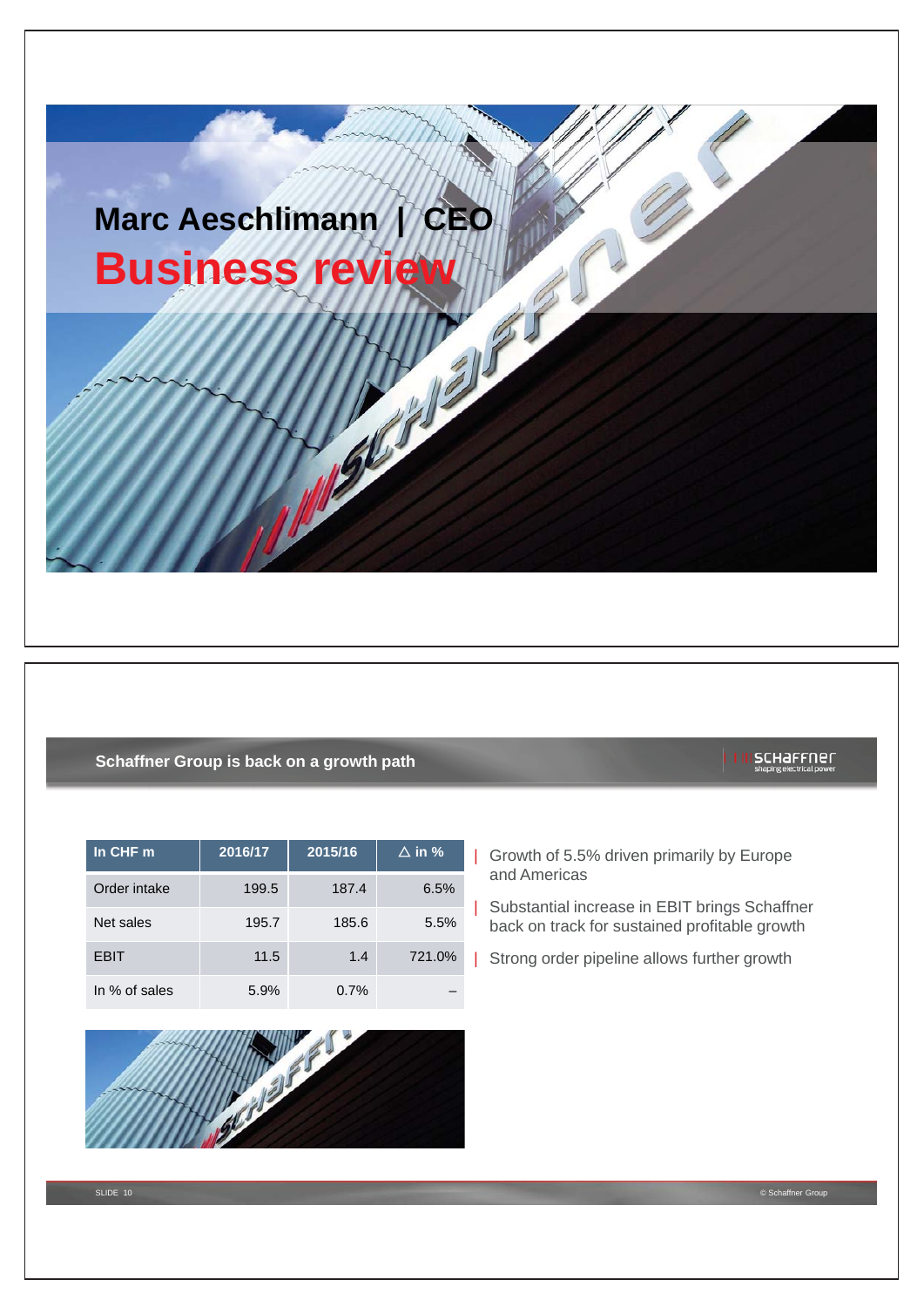# **Marc Aeschlimann | CEO Business review of the state of the state of the state of the state of the state of the state of the state of the state of the state of the state of the state of the state of the state of the state of the state of the sta**

# **Schaffner Group is back on a growth path**

| In CHF m      | 2016/17 | 2015/16 | $\Delta$ in % |
|---------------|---------|---------|---------------|
| Order intake  | 199.5   | 187.4   | 6.5%          |
| Net sales     | 195.7   | 185.6   | 5.5%          |
| <b>EBIT</b>   | 11.5    | 1.4     | 721.0%        |
| In % of sales | 5.9%    | 0.7%    |               |



- | Growth of 5.5% driven primarily by Europe and Americas
- | Substantial increase in EBIT brings Schaffner back on track for sustained profitable growth
- | Strong order pipeline allows further growth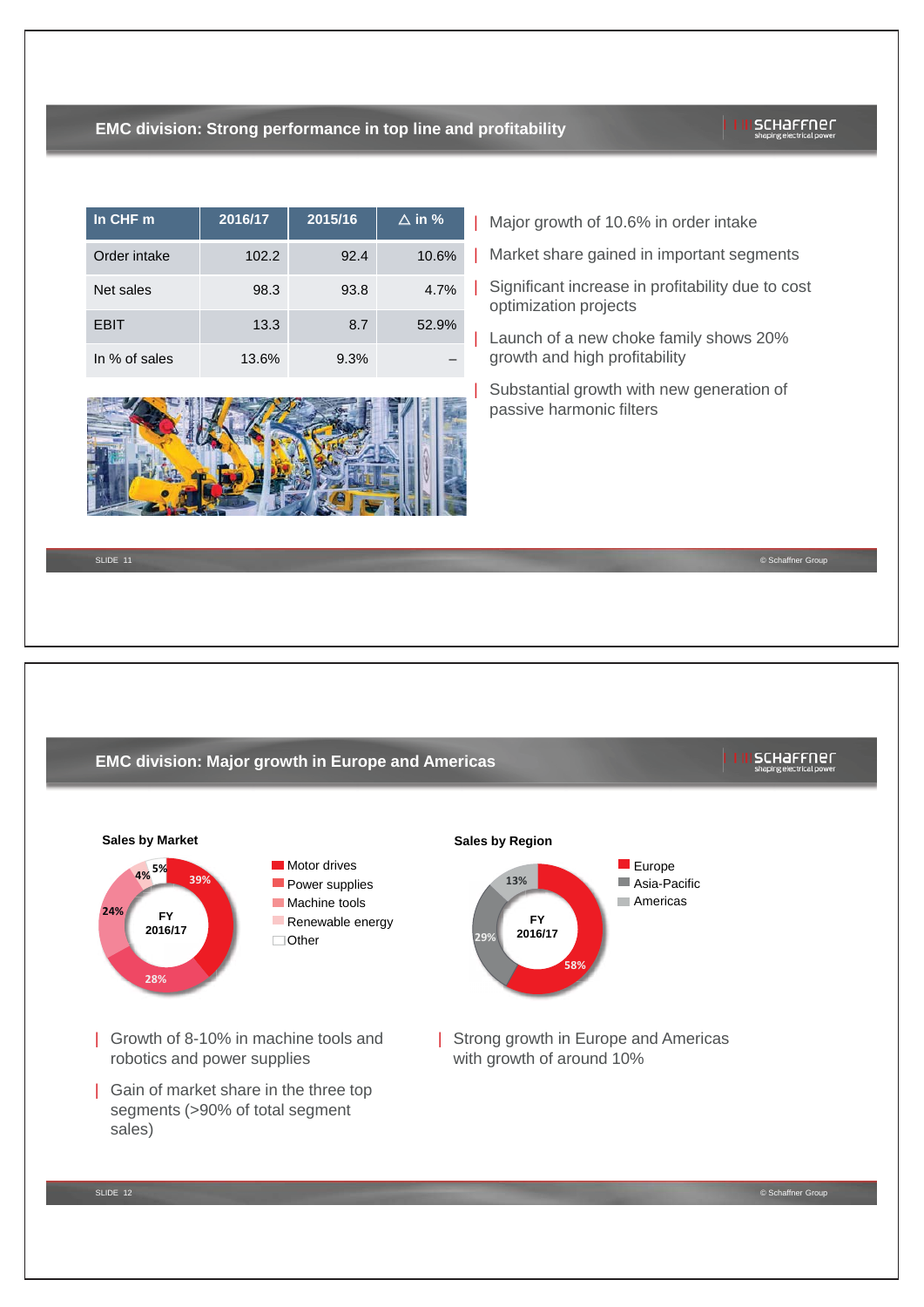# **EMC division: Strong performance in top line and profitability**

# scharrner

| In CHF m      | 2016/17 | 2015/16 | $\triangle$ in % |
|---------------|---------|---------|------------------|
| Order intake  | 102.2   | 92.4    | 10.6%            |
| Net sales     | 98.3    | 93.8    | 4.7%             |
| EBIT          | 13.3    | 8.7     | 52.9%            |
| In % of sales | 13.6%   | 9.3%    |                  |



| Major growth of 10.6% in order intake

- | Market share gained in important segments
- | Significant increase in profitability due to cost optimization projects
- | Launch of a new choke family shows 20% growth and high profitability
- | Substantial growth with new generation of passive harmonic filters

SLIDE 11 © Schaffner Group

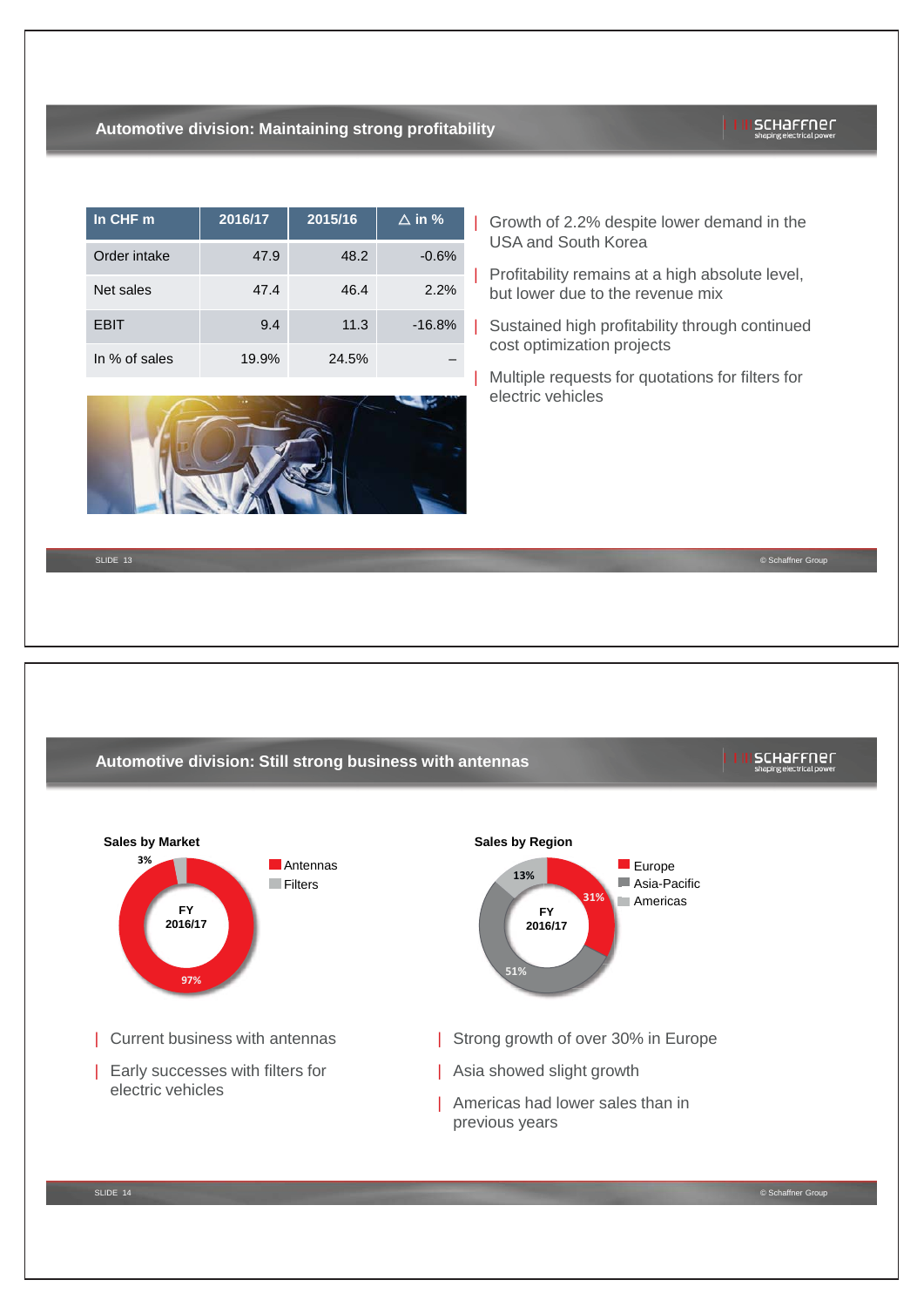# **Automotive division: Maintaining strong profitability**

# $\ln$  CHF m  $\vert$  2016/17  $\vert$  2015/16  $\vert$   $\Delta$  in % Order intake  $47.9$  48.2  $-0.6\%$ Net sales 47.4 46.4 2.2% EBIT 9.4 11.3 -16.8% In % of sales 19.9% 24.5% –



| Growth of 2.2% despite lower demand in the USA and South Korea

Profitability remains at a high absolute level, but lower due to the revenue mix

- Sustained high profitability through continued cost optimization projects
- | Multiple requests for quotations for filters for electric vehicles

SLIDE 13 © Schaffner Group



# scharrner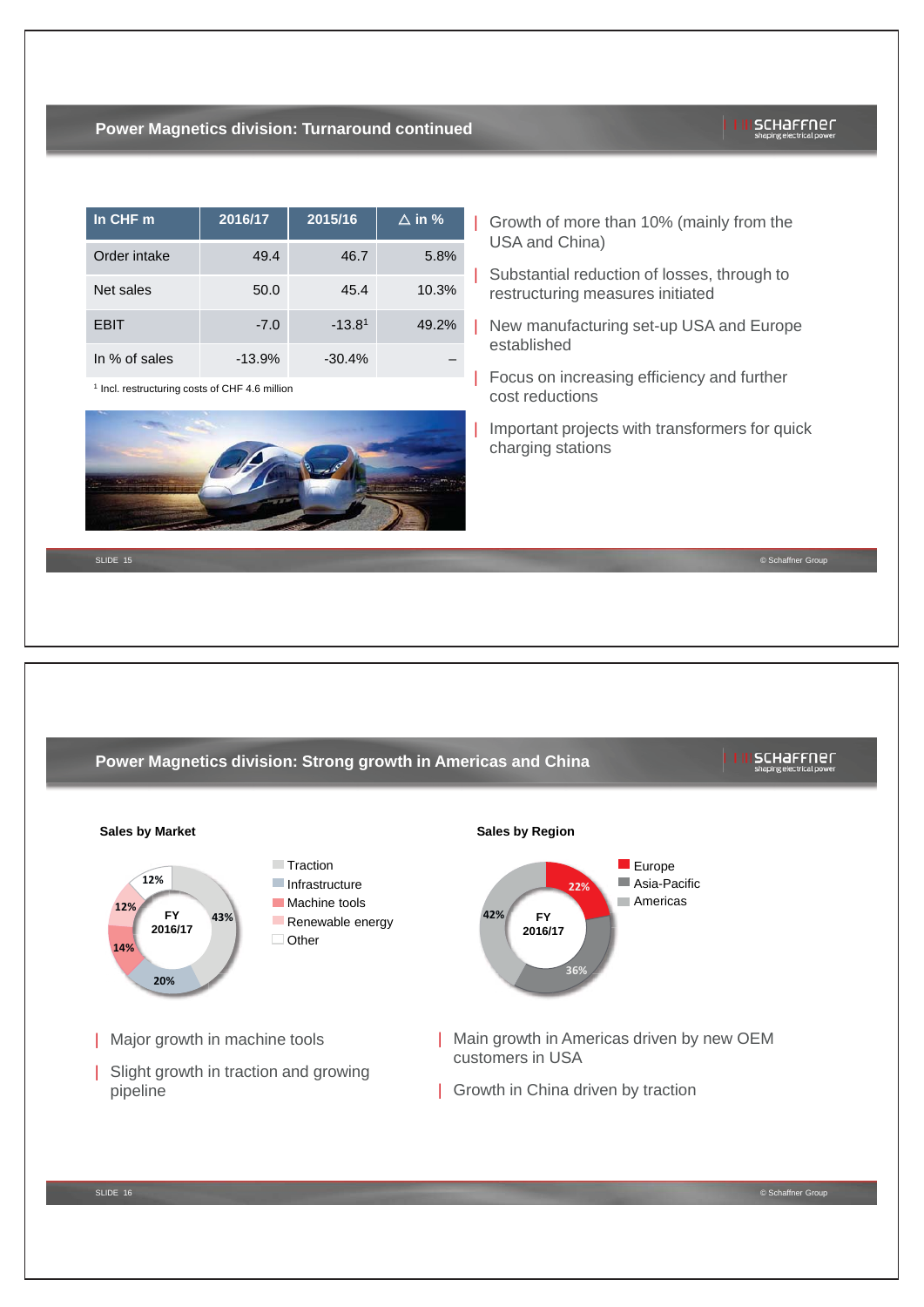## **Power Magnetics division: Turnaround continued**

| In $CHF$ m    | 2016/17  | 2015/16  | $\Delta$ in % |
|---------------|----------|----------|---------------|
| Order intake  | 49.4     | 46.7     | 5.8%          |
| Net sales     | 50.0     | 45.4     | 10.3%         |
| <b>EBIT</b>   | $-7.0$   | $-13.81$ | 49.2%         |
| In % of sales | $-13.9%$ | $-30.4%$ |               |

1 Incl. restructuring costs of CHF 4.6 million



| Growth of more than 10% (mainly from the USA and China)

| Substantial reduction of losses, through to restructuring measures initiated

- | New manufacturing set-up USA and Europe established
- | Focus on increasing efficiency and further cost reductions

| Important projects with transformers for quick charging stations

SLIDE 15 © Schaffner Group



scharrner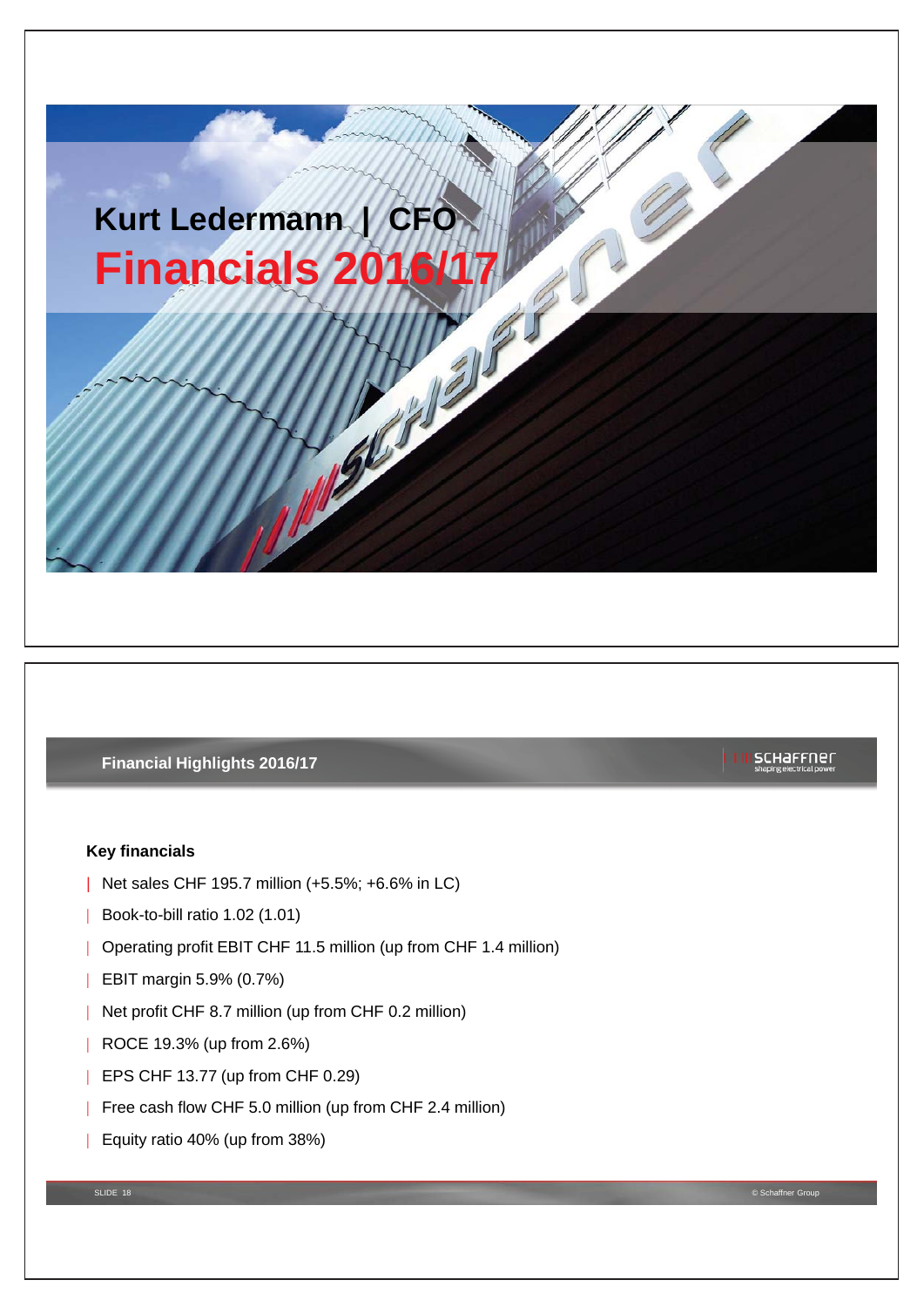# **Kurt Ledermann | CFO Financials 2**

# **Financial Highlights 2016/17**

# **Key financials**

- | Net sales CHF 195.7 million (+5.5%; +6.6% in LC)
- | Book-to-bill ratio 1.02 (1.01)
- | Operating profit EBIT CHF 11.5 million (up from CHF 1.4 million)
- | EBIT margin 5.9% (0.7%)
- | Net profit CHF 8.7 million (up from CHF 0.2 million)
- | ROCE 19.3% (up from 2.6%)
- **EPS CHF 13.77 (up from CHF 0.29)**
- | Free cash flow CHF 5.0 million (up from CHF 2.4 million)
- | Equity ratio 40% (up from 38%)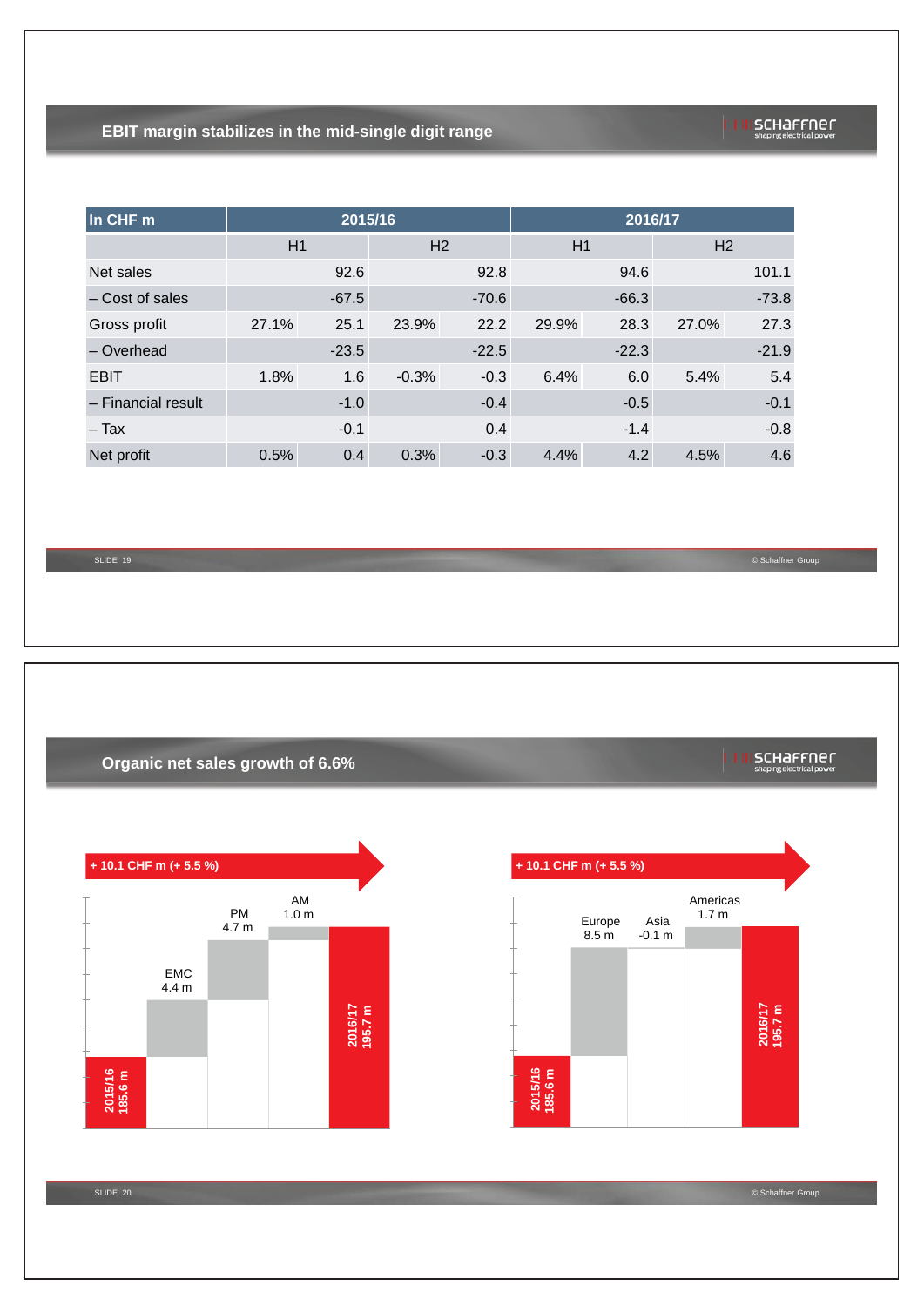# **EBIT margin stabilizes in the mid-single digit range**

| schaffner                 |  |
|---------------------------|--|
| chaning algebrical pourse |  |

| In CHF m           |       | 2015/16 |                |         |       | 2016/17 |                |         |
|--------------------|-------|---------|----------------|---------|-------|---------|----------------|---------|
|                    | H1    |         | H <sub>2</sub> |         | H1    |         | H <sub>2</sub> |         |
| Net sales          |       | 92.6    |                | 92.8    |       | 94.6    |                | 101.1   |
| - Cost of sales    |       | $-67.5$ |                | $-70.6$ |       | $-66.3$ |                | $-73.8$ |
| Gross profit       | 27.1% | 25.1    | 23.9%          | 22.2    | 29.9% | 28.3    | 27.0%          | 27.3    |
| - Overhead         |       | $-23.5$ |                | $-22.5$ |       | $-22.3$ |                | $-21.9$ |
| <b>EBIT</b>        | 1.8%  | 1.6     | $-0.3%$        | $-0.3$  | 6.4%  | 6.0     | 5.4%           | 5.4     |
| - Financial result |       | $-1.0$  |                | $-0.4$  |       | $-0.5$  |                | $-0.1$  |
| – Tax              |       | $-0.1$  |                | 0.4     |       | $-1.4$  |                | $-0.8$  |
| Net profit         | 0.5%  | 0.4     | 0.3%           | $-0.3$  | 4.4%  | 4.2     | 4.5%           | 4.6     |

SLIDE 19

SLIDE 20

© Schaffner Group

schaffner

# **Organic net sales growth of 6.6%**





© Schaffner Group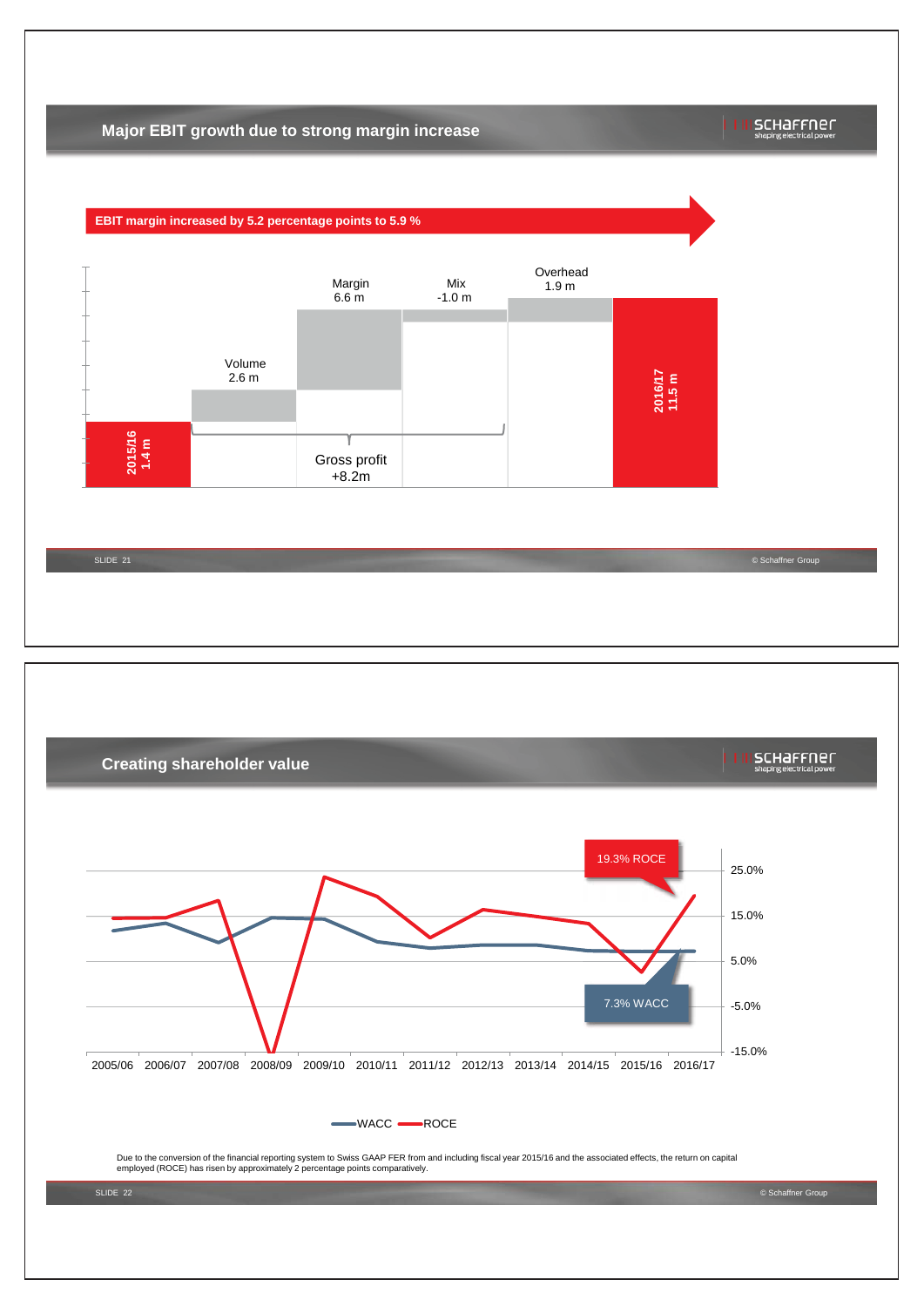# **Major EBIT growth due to strong margin increase**

## schaffner



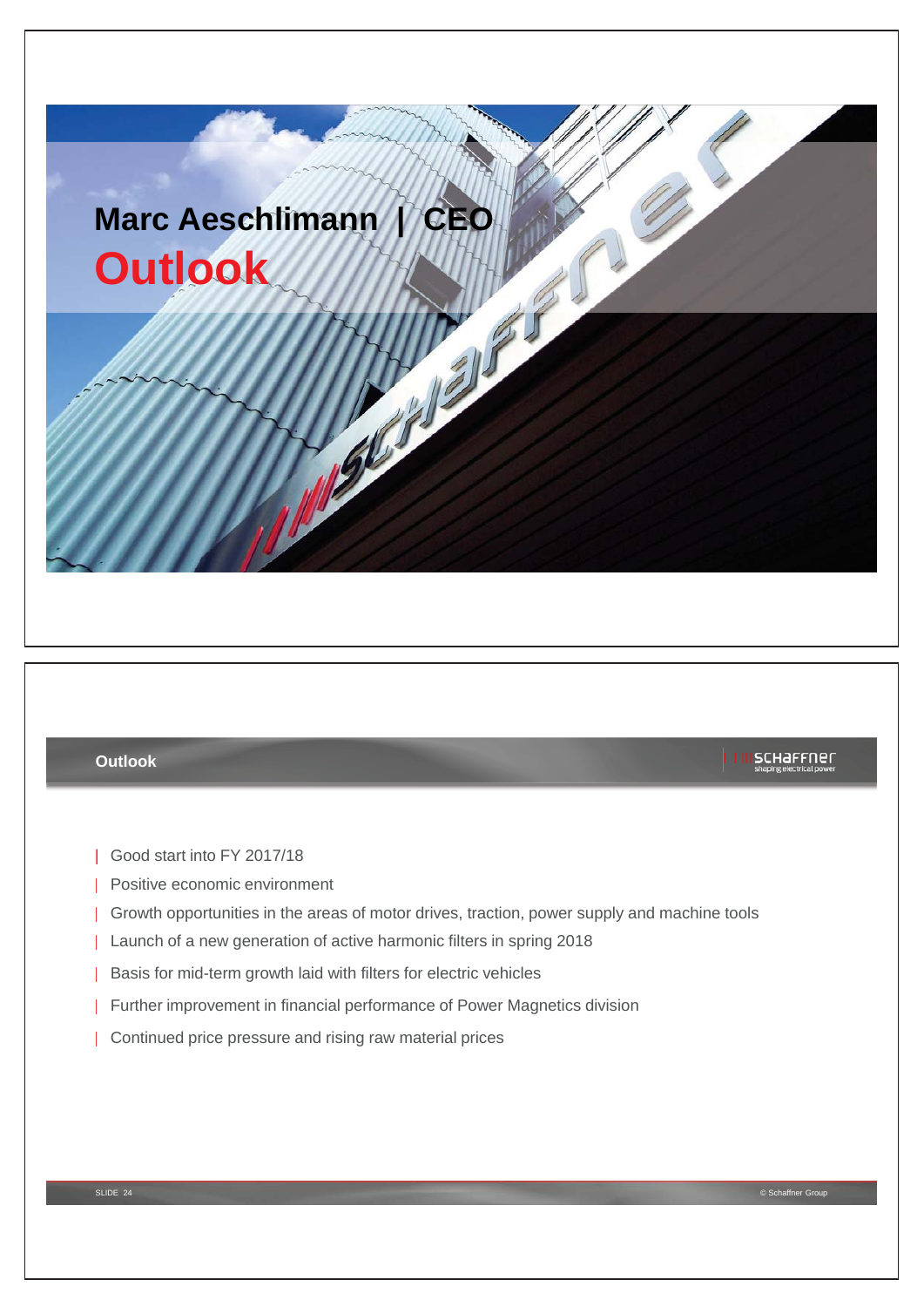

# **Outlook**

- | Good start into FY 2017/18
- | Positive economic environment
- | Growth opportunities in the areas of motor drives, traction, power supply and machine tools
- | Launch of a new generation of active harmonic filters in spring 2018
- | Basis for mid-term growth laid with filters for electric vehicles
- | Further improvement in financial performance of Power Magnetics division
- | Continued price pressure and rising raw material prices